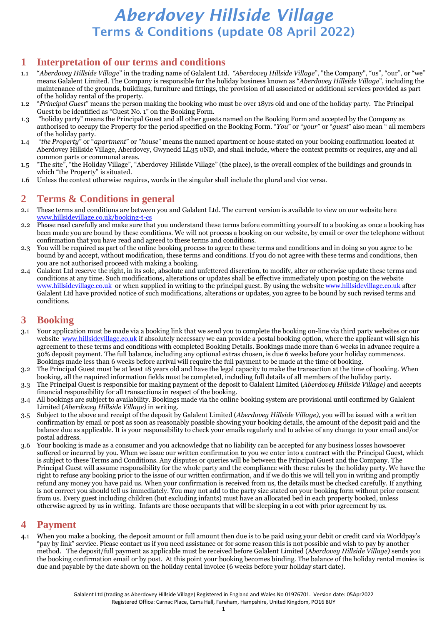#### **1 Interpretation of our terms and conditions**

- 1.1 "*Aberdovey Hillside Village*" in the trading name of Galalent Ltd. *"Aberdovey Hillside Village*", "the Company", "us", "our", or "we" means Galalent Limited. The Company is responsible for the holiday business known as "*Aberdovey Hillside Village*", including the maintenance of the grounds, buildings, furniture and fittings, the provision of all associated or additional services provided as part of the holiday rental of the property.
- 1.2 "*Principal Guest*" means the person making the booking who must be over 18yrs old and one of the holiday party. The Principal Guest to be identified as "Guest No. 1" on the Booking Form.
- 1.3 "holiday party" means the Principal Guest and all other guests named on the Booking Form and accepted by the Company as authorised to occupy the Property for the period specified on the Booking Form. "*You*" or "*your*" or "*guest*" also mean " all members of the holiday party.
- 1.4 "*the Property*" or "*apartment*" or "*house*" means the named apartment or house stated on your booking confirmation located at Aberdovey Hillside Village, Aberdovey, Gwynedd LL35 0ND, and shall include, where the context permits or requires, any and all common parts or communal areas.
- 1.5 "The site", "the Holiday Village", "Aberdovey Hillside Village" (the place), is the overall complex of the buildings and grounds in which "the Property" is situated.
- 1.6 Unless the context otherwise requires, words in the singular shall include the plural and vice versa.

### **2 Terms & Conditions in general**

- 2.1 These terms and conditions are between you and Galalent Ltd. The current version is available to view on our website here [www.hillsidevillage.co.uk/](http://www.hillsidevillage.co.uk/)booking-t-cs
- 2.2 Please read carefully and make sure that you understand these terms before committing yourself to a booking as once a booking has been made you are bound by these conditions. We will not process a booking on our website, by email or over the telephone without confirmation that you have read and agreed to these terms and conditions.
- 2.3 You will be required as part of the online booking process to agree to these terms and conditions and in doing so you agree to be bound by and accept, without modification, these terms and conditions. If you do not agree with these terms and conditions, then you are not authorised proceed with making a booking.
- 2.4 Galalent Ltd reserve the right, in its sole, absolute and unfettered discretion, to modify, alter or otherwise update these terms and conditions at any time. Such modifications, alterations or updates shall be effective immediately upon posting on the website [www.hillsidevillage.co.uk](http://www.hillsidevillage.co.uk/) or when supplied in writing to the principal guest. By using the website www.hillsidevillage.co.uk after Galalent Ltd have provided notice of such modifications, alterations or updates, you agree to be bound by such revised terms and conditions.

### **3 Booking**

- 3.1 Your application must be made via a booking link that we send you to complete the booking on-line via third party websites or our website [www.hillsidevillage.co.uk](http://www.hillsidevillage.co.uk/) if absolutely necessary we can provide a postal booking option, where the applicant will sign his agreement to these terms and conditions with completed Booking Details. Bookings made more than 6 weeks in advance require a 30% deposit payment. The full balance, including any optional extras chosen, is due 6 weeks before your holiday commences. Bookings made less than 6 weeks before arrival will require the full payment to be made at the time of booking.
- 3.2 The Principal Guest must be at least 18 years old and have the legal capacity to make the transaction at the time of booking. When booking, all the required information fields must be completed, including full details of all members of the holiday party.
- 3.3 The Principal Guest is responsible for making payment of the deposit to Galalent Limited (*Aberdovey Hillside Village)* and accepts financial responsibility for all transactions in respect of the booking.
- 3.4 All bookings are subject to availability. Bookings made via the online booking system are provisional until confirmed by Galalent Limited (*Aberdovey Hillside Village)* in writing.
- 3.5 Subject to the above and receipt of the deposit by Galalent Limited (*Aberdovey Hillside Village)*, you will be issued with a written confirmation by email or post as soon as reasonably possible showing your booking details, the amount of the deposit paid and the balance due as applicable. It is your responsibility to check your emails regularly and to advise of any change to your email and/or postal address.
- 3.6 Your booking is made as a consumer and you acknowledge that no liability can be accepted for any business losses howsoever suffered or incurred by you. When we issue our written confirmation to you we enter into a contract with the Principal Guest, which is subject to these Terms and Conditions. Any disputes or queries will be between the Principal Guest and the Company. The Principal Guest will assume responsibility for the whole party and the compliance with these rules by the holiday party. We have the right to refuse any booking prior to the issue of our written confirmation, and if we do this we will tell you in writing and promptly refund any money you have paid us. When your confirmation is received from us, the details must be checked carefully. If anything is not correct you should tell us immediately. You may not add to the party size stated on your booking form without prior consent from us. Every guest including children (but excluding infants) must have an allocated bed in each property booked, unless otherwise agreed by us in writing. Infants are those occupants that will be sleeping in a cot with prior agreement by us.

#### **4 Payment**

4.1 When you make a booking, the deposit amount or full amount then due is to be paid using your debit or credit card via Worldpay's "pay by link" service. Please contact us if you need assistance or for some reason this is not possible and wish to pay by another method. The deposit/full payment as applicable must be received before Galalent Limited (A*berdovey Hillside Village)* sends you the booking confirmation email or by post. At this point your booking becomes binding. The balance of the holiday rental monies is due and payable by the date shown on the holiday rental invoice (6 weeks before your holiday start date).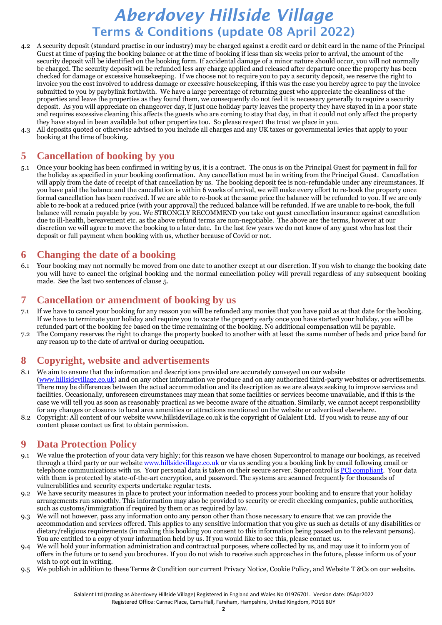- 4.2 A security deposit (standard practise in our industry) may be charged against a credit card or debit card in the name of the Principal Guest at time of paying the booking balance or at the time of booking if less than six weeks prior to arrival, the amount of the security deposit will be identified on the booking form. If accidental damage of a minor nature should occur, you will not normally be charged. The security deposit will be refunded less any charge applied and released after departure once the property has been checked for damage or excessive housekeeping. If we choose not to require you to pay a security deposit, we reserve the right to invoice you the cost involved to address damage or excessive housekeeping, if this was the case you hereby agree to pay the invoice submitted to you by paybylink forthwith. We have a large percentage of returning guest who appreciate the cleanliness of the properties and leave the properties as they found them, we consequently do not feel it is necessary generally to require a security deposit. As you will appreciate on changeover day, if just one holiday party leaves the property they have stayed in in a poor state and requires excessive cleaning this affects the guests who are coming to stay that day, in that it could not only affect the property they have stayed in been available but other properties too. So please respect the trust we place in you.
- 4.3 All deposits quoted or otherwise advised to you include all charges and any UK taxes or governmental levies that apply to your booking at the time of booking.

#### **5 Cancellation of booking by you**

5.1 Once your booking has been confirmed in writing by us, it is a contract. The onus is on the Principal Guest for payment in full for the holiday as specified in your booking confirmation. Any cancellation must be in writing from the Principal Guest. Cancellation will apply from the date of receipt of that cancellation by us. The booking deposit fee is non-refundable under any circumstances. If you have paid the balance and the cancellation is within 6 weeks of arrival, we will make every effort to re-book the property once formal cancellation has been received. If we are able to re-book at the same price the balance will be refunded to you. If we are only able to re-book at a reduced price (with your approval) the reduced balance will be refunded. If we are unable to re-book, the full balance will remain payable by you. We STRONGLY RECOMMEND you take out guest cancellation insurance against cancellation due to ill-health, bereavement etc. as the above refund terms are non-negotiable. The above are the terms, however at our discretion we will agree to move the booking to a later date. In the last few years we do not know of any guest who has lost their deposit or full payment when booking with us, whether because of Covid or not.

#### **6 Changing the date of a booking**

6.1 Your booking may not normally be moved from one date to another except at our discretion. If you wish to change the booking date you will have to cancel the original booking and the normal cancellation policy will prevail regardless of any subsequent booking made. See the last two sentences of clause 5.

#### **7 Cancellation or amendment of booking by us**

- 7.1 If we have to cancel your booking for any reason you will be refunded any monies that you have paid as at that date for the booking. If we have to terminate your holiday and require you to vacate the property early once you have started your holiday, you will be refunded part of the booking fee based on the time remaining of the booking. No additional compensation will be payable.
- 7.2 The Company reserves the right to change the property booked to another with at least the same number of beds and price band for any reason up to the date of arrival or during occupation.

#### **8 Copyright, website and advertisements**

- 8.1 We aim to ensure that the information and descriptions provided are accurately conveyed on our website [\(www.hillsidevillage.co.uk\)](http://www.hillsidevillage.co.uk/) and on any other information we produce and on any authorized third-party websites or advertisements. There may be differences between the actual accommodation and its description as we are always seeking to improve services and facilities. Occasionally, unforeseen circumstances may mean that some facilities or services become unavailable, and if this is the case we will tell you as soon as reasonably practical as we become aware of the situation. Similarly, we cannot accept responsibility for any changes or closures to local area amenities or attractions mentioned on the website or advertised elsewhere.
- 8.2 Copyright: All content of our website www.hillsidevillage.co.uk is the copyright of Galalent Ltd. If you wish to reuse any of our content please contact us first to obtain permission.

#### **9 Data Protection Policy**

- 9.1 We value the protection of your data very highly; for this reason we have chosen Supercontrol to manage our bookings, as received through a third party or our website [www.hillsidevillage.co.uk](http://www.hillsidevillage.co.uk/) or via us sending you a booking link by email following email or telephone communications with us. Your personal data is taken on their secure server. Supercontrol is PCI [compliant.](http://www.supercontrol.co.uk/blog/post/2010/09/21/SuperControl-becomes-PCI-Compliant.aspx) Your data with them is protected by state-of-the-art encryption, and password. The systems are scanned frequently for thousands of vulnerabilities and security experts undertake regular tests.
- 9.2 We have security measures in place to protect your information needed to process your booking and to ensure that your holiday arrangements run smoothly. This information may also be provided to security or credit checking companies, public authorities, such as customs/immigration if required by them or as required by law.
- 9.3 We will not however, pass any information onto any person other than those necessary to ensure that we can provide the accommodation and services offered. This applies to any sensitive information that you give us such as details of any disabilities or dietary/religious requirements (in making this booking you consent to this information being passed on to the relevant persons). You are entitled to a copy of your information held by us. If you would like to see this, please contact us.
- 9.4 We will hold your information administration and contractual purposes, where collected by us, and may use it to inform you of offers in the future or to send you brochures. If you do not wish to receive such approaches in the future, please inform us of your wish to opt out in writing.
- 9.5 We publish in addition to these Terms & Condition our current Privacy Notice, Cookie Policy, and Website T &Cs on our website.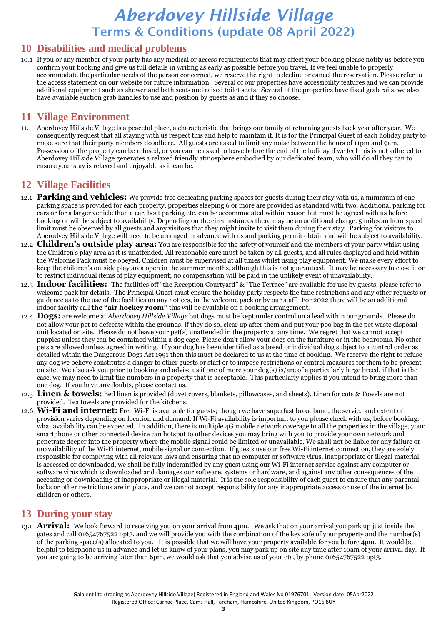#### **10 Disabilities and medical problems**

10.1 If you or any member of your party has any medical or access requirements that may affect your booking please notify us before you confirm your booking and give us full details in writing as early as possible before you travel. If we feel unable to properly accommodate the particular needs of the person concerned, we reserve the right to decline or cancel the reservation. Please refer to the access statement on our website for future information. Several of our properties have accessibility features and we can provide additional equipment such as shower and bath seats and raised toilet seats. Several of the properties have fixed grab rails, we also have available suction grab handles to use and position by guests as and if they so choose.

#### **11 Village Environment**

11.1 Aberdovey Hillside Village is a peaceful place, a characteristic that brings our family of returning guests back year after year. We consequently request that all staying with us respect this and help to maintain it. It is for the Principal Guest of each holiday party to make sure that their party members do adhere. All guests are asked to limit any noise between the hours of 11pm and 9am. Possession of the property can be refused, or you can be asked to leave before the end of the holiday if we feel this is not adhered to. Aberdovey Hillside Village generates a relaxed friendly atmosphere embodied by our dedicated team, who will do all they can to ensure your stay is relaxed and enjoyable as it can be.

#### **12 Village Facilities**

- 12.1 **Parking and vehicles:** We provide free dedicating parking spaces for guests during their stay with us, a minimum of one parking space is provided for each property, properties sleeping 6 or more are provided as standard with two. Additional parking for cars or for a larger vehicle than a car, boat parking etc. can be accommodated within reason but must be agreed with us before booking or will be subject to availability. Depending on the circumstances there may be an additional charge. 5 miles an hour speed limit must be observed by all guests and any visitors that they might invite to visit them during their stay. Parking for visitors to Aberodvey Hillside Village will need to be arranged in advance with us and parking permit obtain and will be subject to availability.
- 12.2 **Children's outside play area:** You are responsible for the safety of yourself and the members of your party whilst using the Children's play area as it is unattended. All reasonable care must be taken by all guests, and all rules displayed and held within the Welcome Pack must be obeyed. Children must be supervised at all times whilst using play equipment. We make every effort to keep the children's outside play area open in the summer months, although this is not guaranteed. It may be necessary to close it or to restrict individual items of play equipment; no compensation will be paid in the unlikely event of unavailability.
- 12.3 **Indoor facilities:** The facilities off "the Reception Courtyard" & "The Terrace" are available for use by guests, please refer to welcome pack for details. The Principal Guest must ensure the holiday party respects the time restrictions and any other requests or guidance as to the use of the facilities on any notices, in the welcome pack or by our staff. For 2022 there will be an additional indoor facility call **the "air hockey room"** this will be available on a booking arrangement.
- 12.4 **Dogs:** are welcome at *Aberdovey Hillside Village* but dogs must be kept under control on a lead within our grounds. Please do not allow your pet to defecate within the grounds, if they do so, clear up after them and put your poo bag in the pet waste disposal unit located on site. Please do not leave your pet(s) unattended in the property at any time. We regret that we cannot accept puppies unless they can be contained within a dog cage. Please don't allow your dogs on the furniture or in the bedrooms. No other pets are allowed unless agreed in writing. If your dog has been identified as a breed or individual dog subject to a control order as detailed within the Dangerous Dogs Act 1991 then this must be declared to us at the time of booking. We reserve the right to refuse any dog we believe constitutes a danger to other guests or staff or to impose restrictions or control measures for them to be present on site. We also ask you prior to booking and advise us if one of more your dog(s) is/are of a particularly large breed, if that is the case, we may need to limit the numbers in a property that is acceptable. This particularly applies if you intend to bring more than one dog. If you have any doubts, please contact us.
- 12.5 **Linen & towels:** Bed linen is provided (duvet covers, blankets, pillowcases, and sheets). Linen for cots & Towels are not provided. Tea towels are provided for the kitchens.
- 12.6 **Wi-Fi and internet:** Free Wi-Fi is available for guests; though we have superfast broadband, the service and extent of provision varies depending on location and demand. If Wi-Fi availability is important to you please check with us, before booking, what availability can be expected. In addition, there is multiple 4G mobile network coverage to all the properties in the village, your smartphone or other connected device can hotspot to other devices you may bring with you to provide your own network and penetrate deeper into the property where the mobile signal could be limited or unavailable. We shall not be liable for any failure or unavailability of the Wi-Fi internet, mobile signal or connection. If guests use our free Wi-Fi internet connection, they are solely responsible for complying with all relevant laws and ensuring that no computer or software virus, inappropriate or illegal material, is accessed or downloaded, we shall be fully indemnified by any guest using our Wi-Fi internet service against any computer or software virus which is downloaded and damages our software, systems or hardware, and against any other consequences of the accessing or downloading of inappropriate or illegal material. It is the sole responsibility of each guest to ensure that any parental locks or other restrictions are in place, and we cannot accept responsibility for any inappropriate access or use of the internet by children or others.

#### **13 During your stay**

13.1 **Arrival:** We look forward to receiving you on your arrival from 4pm. We ask that on your arrival you park up just inside the gates and call 01654767522 opt3, and we will provide you with the combination of the key safe of your property and the number(s) of the parking space(s) allocated to you. It is possible that we will have your property available for you before 4pm. It would be helpful to telephone us in advance and let us know of your plans, you may park up on site any time after 10am of your arrival day. If you are going to be arriving later than 6pm, we would ask that you advise us of your eta, by phone 01654767522 opt3.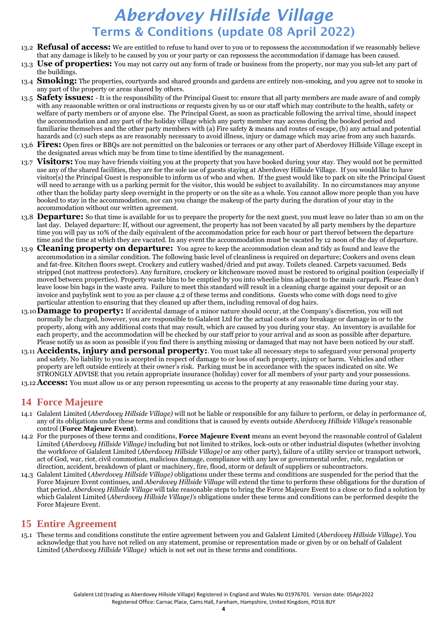- 13.2 **Refusal of access:** We are entitled to refuse to hand over to you or to repossess the accommodation if we reasonably believe that any damage is likely to be caused by you or your party or can repossess the accommodation if damage has been caused.
- 13.3 **Use of properties:** You may not carry out any form of trade or business from the property, nor may you sub-let any part of the buildings.
- 13.4 **Smoking:** The properties, courtyards and shared grounds and gardens are entirely non-smoking, and you agree not to smoke in any part of the property or areas shared by others.
- 13.5 **Safety issues:** It is the responsibility of the Principal Guest to: ensure that all party members are made aware of and comply with any reasonable written or oral instructions or requests given by us or our staff which may contribute to the health, safety or welfare of party members or of anyone else. The Principal Guest, as soon as practicable following the arrival time, should inspect the accommodation and any part of the holiday village which any party member may access during the booked period and familiarise themselves and the other party members with (a) Fire safety & means and routes of escape, (b) any actual and potential hazards and (c) such steps as are reasonably necessary to avoid illness, injury or damage which may arise from any such hazards.
- 13.6 **Fires:** Open fires or BBQs are not permitted on the balconies or terraces or any other part of Aberdovey Hillside Village except in the designated areas which may be from time to time identified by the management.
- 13.7 **Visitors:** You may have friends visiting you at the property that you have booked during your stay. They would not be permitted use any of the shared facilities, they are for the sole use of guests staying at Aberdovey Hillside Village. If you would like to have visitor(s) the Principal Guest is responsible to inform us of who and when. If the guest would like to park on site the Principal Guest will need to arrange with us a parking permit for the visitor, this would be subject to availability. In no circumstances may anyone other than the holiday party sleep overnight in the property or on the site as a whole. You cannot allow more people than you have booked to stay in the accommodation, nor can you change the makeup of the party during the duration of your stay in the accommodation without our written agreement.
- 13.8 **Departure:** So that time is available for us to prepare the property for the next guest, you must leave no later than 10 am on the last day. Delayed departure: If, without our agreement, the property has not been vacated by all party members by the departure time you will pay us 10% of the daily equivalent of the accommodation price for each hour or part thereof between the departure time and the time at which they are vacated. In any event the accommodation must be vacated by 12 noon of the day of departure.
- 13.9 **Cleaning property on departure:** You agree to keep the accommodation clean and tidy as found and leave the accommodation in a similar condition. The following basic level of cleanliness is required on departure; Cookers and ovens clean and fat-free. Kitchen floors swept. Crockery and cutlery washed/dried and put away. Toilets cleaned. Carpets vacuumed. Beds stripped (not mattress protectors). Any furniture, crockery or kitchenware moved must be restored to original position (especially if moved between properties). Property waste bins to be emptied by you into wheelie bins adjacent to the main carpark. Please don't leave loose bin bags in the waste area. Failure to meet this standard will result in a cleaning charge against your deposit or an invoice and paybylink sent to you as per clause 4.2 of these terms and conditions. Guests who come with dogs need to give particular attention to ensuring that they cleaned up after them, including removal of dog hairs.
- 13.10**Damage to property:** If accidental damage of a minor nature should occur, at the Company's discretion, you will not normally be charged, however, you are responsible to Galalent Ltd for the actual costs of any breakage or damage in or to the property, along with any additional costs that may result, which are caused by you during your stay. An inventory is available for each property, and the accommodation will be checked by our staff prior to your arrival and as soon as possible after departure. Please notify us as soon as possible if you find there is anything missing or damaged that may not have been noticed by our staff.
- 13.11 **Accidents, injury and personal property:**. You must take all necessary steps to safeguard your personal property and safety. No liability to you is accepted in respect of damage to or loss of such property, injury or harm. Vehicles and other property are left outside entirely at their owner's risk. Parking must be in accordance with the spaces indicated on site. We STRONGLY ADVISE that you retain appropriate insurance (holiday) cover for all members of your party and your possessions.

13.12**Access:** You must allow us or any person representing us access to the property at any reasonable time during your stay.

### **14 Force Majeure**

- 14.1 Galalent Limited (*Aberdovey Hillside Village)* will not be liable or responsible for any failure to perform, or delay in performance of, any of its obligations under these terms and conditions that is caused by events outside *Aberdovey Hillside Village*'s reasonable control (**Force Majeure Event**).
- 14.2 For the purposes of these terms and conditions, **Force Majeure Event** means an event beyond the reasonable control of Galalent Limited (*Aberdovey Hillside Village)* including but not limited to strikes, lock-outs or other industrial disputes (whether involving the workforce of Galalent Limited (*Aberdovey Hillside Village)* or any other party), failure of a utility service or transport network, act of God, war, riot, civil commotion, malicious damage, compliance with any law or governmental order, rule, regulation or direction, accident, breakdown of plant or machinery, fire, flood, storm or default of suppliers or subcontractors.
- 14.3 Galalent Limited (*Aberdovey Hillside Village)* obligations under these terms and conditions are suspended for the period that the Force Majeure Event continues, and *Aberdovey Hillside Village* will extend the time to perform these obligations for the duration of that period. *Aberdovey Hillside Village* will take reasonable steps to bring the Force Majeure Event to a close or to find a solution by which Galalent Limited (*Aberdovey Hillside Village)'s* obligations under these terms and conditions can be performed despite the Force Majeure Event.

#### **15 Entire Agreement**

15.1 These terms and conditions constitute the entire agreement between you and Galalent Limited (*Aberdovey Hillside Village)*. You acknowledge that you have not relied on any statement, promise or representation made or given by or on behalf of Galalent Limited (*Aberdovey Hillside Village)* which is not set out in these terms and conditions.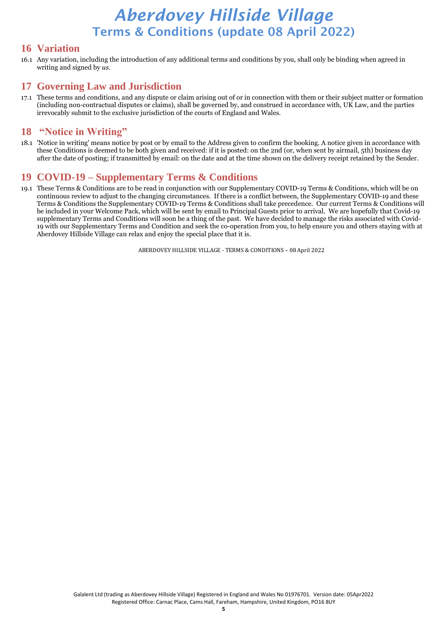#### **16 Variation**

16.1 Any variation, including the introduction of any additional terms and conditions by you, shall only be binding when agreed in writing and signed by *us*.

### **17 Governing Law and Jurisdiction**

17.1 These terms and conditions, and any dispute or claim arising out of or in connection with them or their subject matter or formation (including non-contractual disputes or claims), shall be governed by, and construed in accordance with, UK Law, and the parties irrevocably submit to the exclusive jurisdiction of the courts of England and Wales.

#### **18 "Notice in Writing"**

18.1 'Notice in writing' means notice by post or by email to the Address given to confirm the booking. A notice given in accordance with these Conditions is deemed to be both given and received: if it is posted: on the 2nd (or, when sent by airmail, 5th) business day after the date of posting; if transmitted by email: on the date and at the time shown on the delivery receipt retained by the Sender.

### **19 COVID-19 – Supplementary Terms & Conditions**

19.1 These Terms & Conditions are to be read in conjunction with our Supplementary COVID-19 Terms & Conditions, which will be on continuous review to adjust to the changing circumstances. If there is a conflict between, the Supplementary COVID-19 and these Terms & Conditions the Supplementary COVID-19 Terms & Conditions shall take precedence. Our current Terms & Conditions will be included in your Welcome Pack, which will be sent by email to Principal Guests prior to arrival. We are hopefully that Covid-19 supplementary Terms and Conditions will soon be a thing of the past. We have decided to manage the risks associated with Covid-19 with our Supplementary Terms and Condition and seek the co-operation from you, to help ensure you and others staying with at Aberdovey Hillside Village can relax and enjoy the special place that it is.

ABERDOVEY HILLSIDE VILLAGE - TERMS & CONDITIONS – 08 April 2022